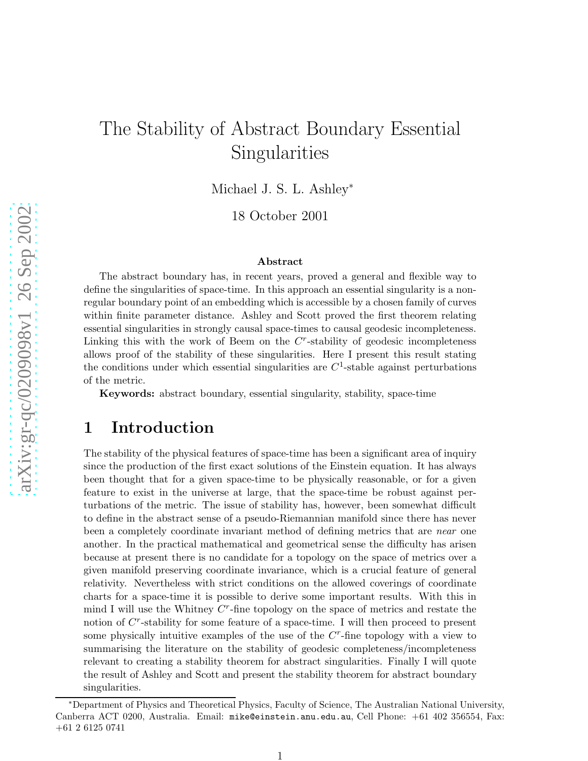# The Stability of Abstract Boundary Essential Singularities

Michael J. S. L. Ashley<sup>\*</sup>

18 October 2001

#### Abstract

The abstract boundary has, in recent years, proved a general and flexible way to define the singularities of space-time. In this approach an essential singularity is a nonregular boundary point of an embedding which is accessible by a chosen family of curves within finite parameter distance. Ashley and Scott proved the first theorem relating essential singularities in strongly causal space-times to causal geodesic incompleteness. Linking this with the work of Beem on the  $C<sup>r</sup>$ -stability of geodesic incompleteness allows proof of the stability of these singularities. Here I present this result stating the conditions under which essential singularities are  $C<sup>1</sup>$ -stable against perturbations of the metric.

Keywords: abstract boundary, essential singularity, stability, space-time

### 1 Introduction

The stability of the physical features of space-time has been a significant area of inquiry since the production of the first exact solutions of the Einstein equation. It has always been thought that for a given space-time to be physically reasonable, or for a given feature to exist in the universe at large, that the space-time be robust against perturbations of the metric. The issue of stability has, however, been somewhat difficult to define in the abstract sense of a pseudo-Riemannian manifold since there has never been a completely coordinate invariant method of defining metrics that are near one another. In the practical mathematical and geometrical sense the difficulty has arisen because at present there is no candidate for a topology on the space of metrics over a given manifold preserving coordinate invariance, which is a crucial feature of general relativity. Nevertheless with strict conditions on the allowed coverings of coordinate charts for a space-time it is possible to derive some important results. With this in mind I will use the Whitney  $C^r$ -fine topology on the space of metrics and restate the notion of C<sup>r</sup>-stability for some feature of a space-time. I will then proceed to present some physically intuitive examples of the use of the  $C<sup>r</sup>$ -fine topology with a view to summarising the literature on the stability of geodesic completeness/incompleteness relevant to creating a stability theorem for abstract singularities. Finally I will quote the result of Ashley and Scott and present the stability theorem for abstract boundary singularities.

<sup>∗</sup>Department of Physics and Theoretical Physics, Faculty of Science, The Australian National University, Canberra ACT 0200, Australia. Email: mike@einstein.anu.edu.au, Cell Phone: +61 402 356554, Fax: +61 2 6125 0741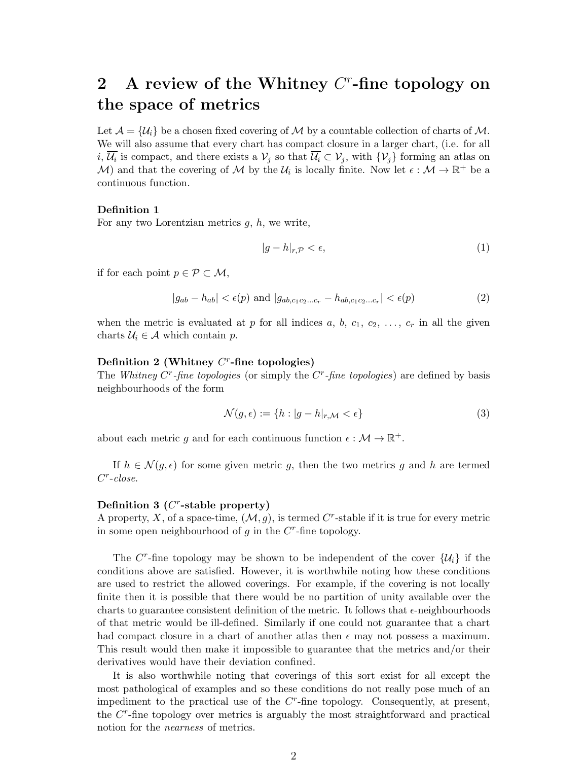## 2 A review of the Whitney  $C^r$ -fine topology on the space of metrics

Let  $\mathcal{A} = \{U_i\}$  be a chosen fixed covering of M by a countable collection of charts of M. We will also assume that every chart has compact closure in a larger chart, (i.e. for all *i*,  $\mathcal{U}_i$  is compact, and there exists a  $\mathcal{V}_j$  so that  $\mathcal{U}_i \subset \mathcal{V}_j$ , with  $\{\mathcal{V}_j\}$  forming an atlas on M) and that the covering of M by the  $\mathcal{U}_i$  is locally finite. Now let  $\epsilon : \mathcal{M} \to \mathbb{R}^+$  be a continuous function.

#### Definition 1

For any two Lorentzian metrics  $q, h$ , we write,

$$
|g - h|_{r, \mathcal{P}} < \epsilon,\tag{1}
$$

if for each point  $p \in \mathcal{P} \subset \mathcal{M}$ ,

$$
|g_{ab} - h_{ab}| < \epsilon(p) \text{ and } |g_{ab,c_1c_2...c_r} - h_{ab,c_1c_2...c_r}| < \epsilon(p) \tag{2}
$$

when the metric is evaluated at p for all indices a, b,  $c_1, c_2, \ldots, c_r$  in all the given charts  $\mathcal{U}_i \in \mathcal{A}$  which contain p.

### Definition 2 (Whitney  $C^r$ -fine topologies)

The Whitney  $C^r$ -fine topologies (or simply the  $C^r$ -fine topologies) are defined by basis neighbourhoods of the form

$$
\mathcal{N}(g,\epsilon) := \{ h : |g - h|_{r,\mathcal{M}} < \epsilon \} \tag{3}
$$

about each metric g and for each continuous function  $\epsilon : \mathcal{M} \to \mathbb{R}^+$ .

If  $h \in \mathcal{N}(g, \epsilon)$  for some given metric g, then the two metrics g and h are termed  $C^{r}$ -close.

### Definition 3 ( $C<sup>r</sup>$ -stable property)

A property, X, of a space-time,  $(M, g)$ , is termed C<sup>r</sup>-stable if it is true for every metric in some open neighbourhood of  $g$  in the  $C^r$ -fine topology.

The  $C^r$ -fine topology may be shown to be independent of the cover  $\{\mathcal{U}_i\}$  if the conditions above are satisfied. However, it is worthwhile noting how these conditions are used to restrict the allowed coverings. For example, if the covering is not locally finite then it is possible that there would be no partition of unity available over the charts to guarantee consistent definition of the metric. It follows that  $\epsilon$ -neighbourhoods of that metric would be ill-defined. Similarly if one could not guarantee that a chart had compact closure in a chart of another atlas then  $\epsilon$  may not possess a maximum. This result would then make it impossible to guarantee that the metrics and/or their derivatives would have their deviation confined.

It is also worthwhile noting that coverings of this sort exist for all except the most pathological of examples and so these conditions do not really pose much of an impediment to the practical use of the  $C<sup>r</sup>$ -fine topology. Consequently, at present, the  $C<sup>r</sup>$ -fine topology over metrics is arguably the most straightforward and practical notion for the *nearness* of metrics.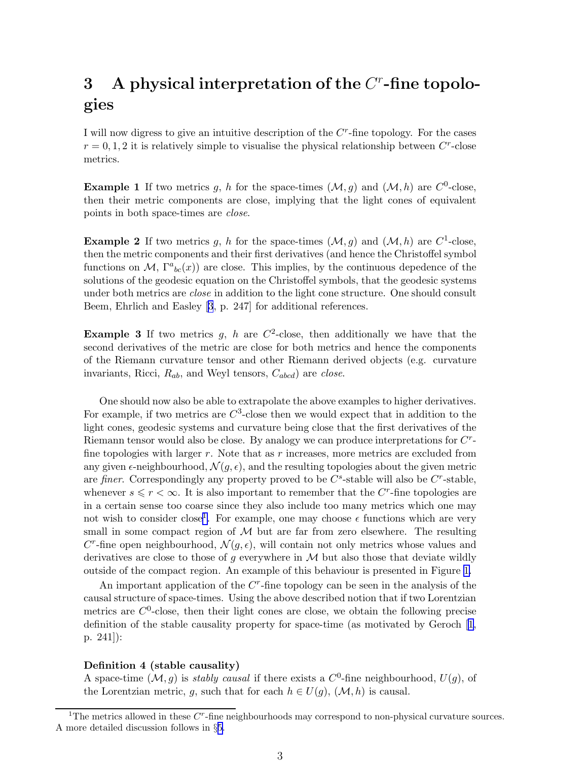## <span id="page-2-0"></span>3 A physical interpretation of the  $C<sup>r</sup>$ -fine topologies

I will now digress to give an intuitive description of the  $C<sup>r</sup>$ -fine topology. For the cases  $r = 0, 1, 2$  it is relatively simple to visualise the physical relationship between C<sup>r</sup>-close metrics.

**Example 1** If two metrics g, h for the space-times  $(M, g)$  and  $(M, h)$  are  $C^0$ -close, then their metric components are close, implying that the light cones of equivalent points in both space-times are close.

**Example 2** If two metrics g, h for the space-times  $(\mathcal{M}, g)$  and  $(\mathcal{M}, h)$  are  $C^1$ -close, then the metric components and their first derivatives (and hence the Christoffel symbol functions on  $\mathcal{M}, \Gamma^a{}_{bc}(x)$  are close. This implies, by the continuous depedence of the solutions of the geodesic equation on the Christoffel symbols, that the geodesic systems under both metrics are *close* in addition to the light cone structure. One should consult Beem, Ehrlich and Easley[[3](#page-8-0), p. 247] for additional references.

**Example 3** If two metrics g, h are  $C^2$ -close, then additionally we have that the second derivatives of the metric are close for both metrics and hence the components of the Riemann curvature tensor and other Riemann derived objects (e.g. curvature invariants, Ricci,  $R_{ab}$ , and Weyl tensors,  $C_{abcd}$ ) are *close*.

One should now also be able to extrapolate the above examples to higher derivatives. For example, if two metrics are  $C^3$ -close then we would expect that in addition to the light cones, geodesic systems and curvature being close that the first derivatives of the Riemann tensor would also be close. By analogy we can produce interpretations for  $C^r$ fine topologies with larger  $r$ . Note that as  $r$  increases, more metrics are excluded from any given  $\epsilon$ -neighbourhood,  $\mathcal{N}(g, \epsilon)$ , and the resulting topologies about the given metric are finer. Correspondingly any property proved to be  $C^s$ -stable will also be  $C^r$ -stable, whenever  $s \leq r < \infty$ . It is also important to remember that the C<sup>r</sup>-fine topologies are in a certain sense too coarse since they also include too many metrics which one may not wish to consider close<sup>1</sup>. For example, one may choose  $\epsilon$  functions which are very small in some compact region of  $M$  but are far from zero elsewhere. The resulting C<sup>r</sup>-fine open neighbourhood,  $\mathcal{N}(g, \epsilon)$ , will contain not only metrics whose values and derivatives are close to those of g everywhere in  $\mathcal M$  but also those that deviate wildly outside of the compact region. An example of this behaviour is presented in Figure [1.](#page-3-0)

An important application of the  $C<sup>r</sup>$ -fine topology can be seen in the analysis of the causal structure of space-times. Using the above described notion that if two Lorentzian metrics are  $C^0$ -close, then their light cones are close, we obtain the following precise definition of the stable causality property for space-time (as motivated by Geroch[[1](#page-8-0), p. 241]):

### Definition 4 (stable causality)

A space-time  $(M, g)$  is *stably causal* if there exists a  $C^0$ -fine neighbourhood,  $U(g)$ , of the Lorentzian metric, g, such that for each  $h \in U(g)$ ,  $(\mathcal{M}, h)$  is causal.

<sup>&</sup>lt;sup>1</sup>The metrics allowed in these  $C<sup>r</sup>$ -fine neighbourhoods may correspond to non-physical curvature sources. A more detailed discussion follows in §[5.](#page-7-0)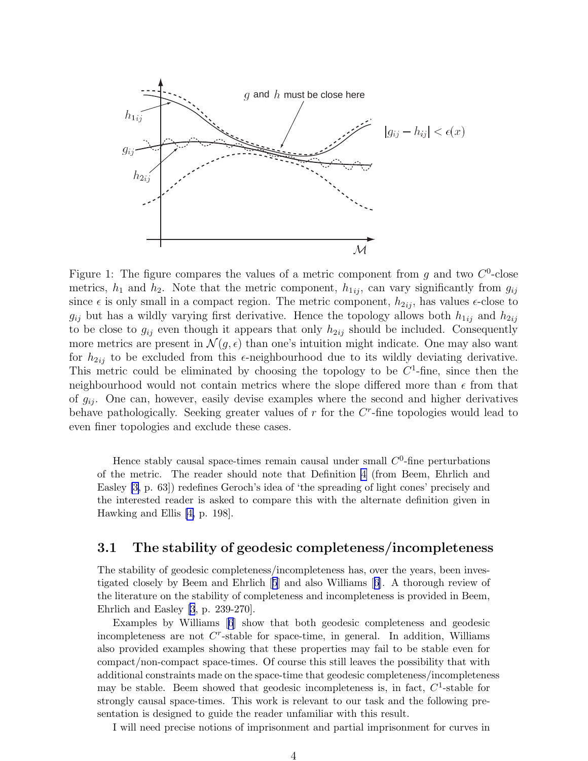<span id="page-3-0"></span>

Figure 1: The figure compares the values of a metric component from g and two  $C^0$ -close metrics,  $h_1$  and  $h_2$ . Note that the metric component,  $h_{1ij}$ , can vary significantly from  $g_{ij}$ since  $\epsilon$  is only small in a compact region. The metric component,  $h_{2ij}$ , has values  $\epsilon$ -close to  $g_{ij}$  but has a wildly varying first derivative. Hence the topology allows both  $h_{1ij}$  and  $h_{2ij}$ to be close to  $g_{ij}$  even though it appears that only  $h_{2ij}$  should be included. Consequently more metrics are present in  $\mathcal{N}(g, \epsilon)$  than one's intuition might indicate. One may also want for  $h_{2ij}$  to be excluded from this  $\epsilon$ -neighbourhood due to its wildly deviating derivative. This metric could be eliminated by choosing the topology to be  $C<sup>1</sup>$ -fine, since then the neighbourhood would not contain metrics where the slope differed more than  $\epsilon$  from that of  $g_{ij}$ . One can, however, easily devise examples where the second and higher derivatives behave pathologically. Seeking greater values of  $r$  for the  $C<sup>r</sup>$ -fine topologies would lead to even finer topologies and exclude these cases.

Hence stably causal space-times remain causal under small  $C<sup>0</sup>$ -fine perturbations of the metric. The reader should note that Definition [4](#page-2-0) (from Beem, Ehrlich and Easley [\[3,](#page-8-0) p. 63]) redefines Geroch's idea of 'the spreading of light cones' precisely and the interested reader is asked to compare this with the alternate definition given in Hawking and Ellis [\[4,](#page-8-0) p. 198].

### 3.1 The stability of geodesic completeness/incompleteness

The stability of geodesic completeness/incompleteness has, over the years, been investigated closely by Beem and Ehrlich[[5](#page-8-0)] and also Williams[[6](#page-9-0)]. A thorough review of the literature on the stability of completeness and incompleteness is provided in Beem, Ehrlich and Easley [\[3](#page-8-0), p. 239-270].

Examples by Williams[[6](#page-9-0)] show that both geodesic completeness and geodesic incompleteness are not  $C<sup>r</sup>$ -stable for space-time, in general. In addition, Williams also provided examples showing that these properties may fail to be stable even for compact/non-compact space-times. Of course this still leaves the possibility that with additional constraints made on the space-time that geodesic completeness/incompleteness may be stable. Beem showed that geodesic incompleteness is, in fact,  $C<sup>1</sup>$ -stable for strongly causal space-times. This work is relevant to our task and the following presentation is designed to guide the reader unfamiliar with this result.

I will need precise notions of imprisonment and partial imprisonment for curves in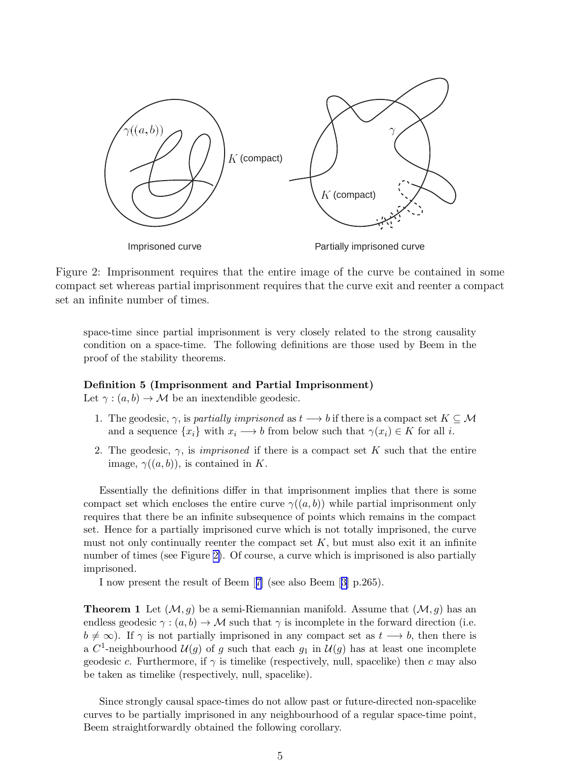<span id="page-4-0"></span>

Figure 2: Imprisonment requires that the entire image of the curve be contained in some compact set whereas partial imprisonment requires that the curve exit and reenter a compact set an infinite number of times.

space-time since partial imprisonment is very closely related to the strong causality condition on a space-time. The following definitions are those used by Beem in the proof of the stability theorems.

### Definition 5 (Imprisonment and Partial Imprisonment)

Let  $\gamma$  :  $(a, b) \rightarrow M$  be an inextendible geodesic.

- 1. The geodesic,  $\gamma$ , is partially imprisoned as  $t \rightarrow b$  if there is a compact set  $K \subseteq \mathcal{M}$ and a sequence  $\{x_i\}$  with  $x_i \longrightarrow b$  from below such that  $\gamma(x_i) \in K$  for all i.
- 2. The geodesic,  $\gamma$ , is *imprisoned* if there is a compact set K such that the entire image,  $\gamma((a, b))$ , is contained in K.

Essentially the definitions differ in that imprisonment implies that there is some compact set which encloses the entire curve  $\gamma((a, b))$  while partial imprisonment only requires that there be an infinite subsequence of points which remains in the compact set. Hence for a partially imprisoned curve which is not totally imprisoned, the curve must not only continually reenter the compact set  $K$ , but must also exit it an infinite number of times (see Figure 2). Of course, a curve which is imprisoned is also partially imprisoned.

I now present the result of Beem[[7\]](#page-9-0) (see also Beem[[3](#page-8-0)] p.265).

**Theorem 1** Let  $(\mathcal{M}, q)$  be a semi-Riemannian manifold. Assume that  $(\mathcal{M}, q)$  has an endless geodesic  $\gamma : (a, b) \to \mathcal{M}$  such that  $\gamma$  is incomplete in the forward direction (i.e.  $b \neq \infty$ ). If  $\gamma$  is not partially imprisoned in any compact set as  $t \rightarrow b$ , then there is a  $C^1$ -neighbourhood  $\mathcal{U}(g)$  of g such that each  $g_1$  in  $\mathcal{U}(g)$  has at least one incomplete geodesic c. Furthermore, if  $\gamma$  is timelike (respectively, null, spacelike) then c may also be taken as timelike (respectively, null, spacelike).

Since strongly causal space-times do not allow past or future-directed non-spacelike curves to be partially imprisoned in any neighbourhood of a regular space-time point, Beem straightforwardly obtained the following corollary.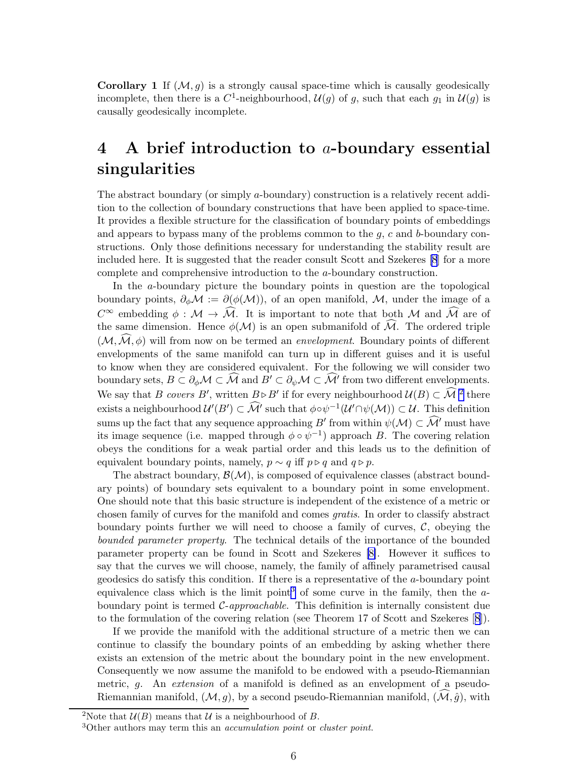**Corollary 1** If  $(M, g)$  is a strongly causal space-time which is causally geodesically incomplete, then there is a  $C^1$ -neighbourhood,  $\mathcal{U}(g)$  of g, such that each  $g_1$  in  $\mathcal{U}(g)$  is causally geodesically incomplete.

## 4 A brief introduction to a-boundary essential singularities

The abstract boundary (or simply a-boundary) construction is a relatively recent addition to the collection of boundary constructions that have been applied to space-time. It provides a flexible structure for the classification of boundary points of embeddings and appears to bypass many of the problems common to the  $q$ ,  $c$  and  $b$ -boundary constructions. Only those definitions necessary for understanding the stability result are included here. It is suggested that the reader consult Scott and Szekeres [\[8](#page-9-0)] for a more complete and comprehensive introduction to the a-boundary construction.

In the a-boundary picture the boundary points in question are the topological boundary points,  $\partial_{\phi}M := \partial(\phi(M))$ , of an open manifold, M, under the image of a  $C^{\infty}$  embedding  $\phi : \mathcal{M} \to \widehat{\mathcal{M}}$ . It is important to note that both M and  $\widehat{\mathcal{M}}$  are of the same dimension. Hence  $\phi(\mathcal{M})$  is an open submanifold of  $\widehat{\mathcal{M}}$ . The ordered triple  $(M, M, \phi)$  will from now on be termed an *envelopment*. Boundary points of different envelopments of the same manifold can turn up in different guises and it is useful to know when they are considered equivalent. For the following we will consider two boundary sets,  $B \subset \partial_{\phi} \mathcal{M} \subset \widehat{\mathcal{M}}$  and  $B' \subset \partial_{\psi} \mathcal{M} \subset \widehat{\mathcal{M}}'$  from two different envelopments. We say that B covers B', written  $B \triangleright B'$  if for every neighbourhood  $\mathcal{U}(B) \subset \widehat{\mathcal{M}}^2$  there exists a neighbourhood  $\mathcal{U}'(B') \subset \widehat{\mathcal{M}}'$  such that  $\phi \circ \psi^{-1}(\mathcal{U}' \cap \psi(\mathcal{M})) \subset \mathcal{U}$ . This definition sums up the fact that any sequence approaching B' from within  $\psi(\mathcal{M}) \subset \widehat{\mathcal{M}}'$  must have its image sequence (i.e. mapped through  $\phi \circ \psi^{-1}$ ) approach B. The covering relation obeys the conditions for a weak partial order and this leads us to the definition of equivalent boundary points, namely,  $p \sim q$  iff  $p \triangleright q$  and  $q \triangleright p$ .

The abstract boundary,  $\mathcal{B}(\mathcal{M})$ , is composed of equivalence classes (abstract boundary points) of boundary sets equivalent to a boundary point in some envelopment. One should note that this basic structure is independent of the existence of a metric or chosen family of curves for the manifold and comes gratis. In order to classify abstract boundary points further we will need to choose a family of curves,  $\mathcal{C}$ , obeying the bounded parameter property. The technical details of the importance of the bounded parameter property can be found in Scott and Szekeres [\[8\]](#page-9-0). However it suffices to say that the curves we will choose, namely, the family of affinely parametrised causal geodesics do satisfy this condition. If there is a representative of the a-boundary point equivalence class which is the limit point<sup>3</sup> of some curve in the family, then the  $a$ boundary point is termed  $\mathcal{C}\text{-}approachable$ . This definition is internally consistent due to the formulation of the covering relation (see Theorem 17 of Scott and Szekeres[[8](#page-9-0)]).

If we provide the manifold with the additional structure of a metric then we can continue to classify the boundary points of an embedding by asking whether there exists an extension of the metric about the boundary point in the new envelopment. Consequently we now assume the manifold to be endowed with a pseudo-Riemannian metric, q. An extension of a manifold is defined as an envelopment of a pseudo-Riemannian manifold,  $(\mathcal{M}, g)$ , by a second pseudo-Riemannian manifold,  $(\widehat{\mathcal{M}}, \widehat{g})$ , with

<sup>&</sup>lt;sup>2</sup>Note that  $\mathcal{U}(B)$  means that  $\mathcal{U}$  is a neighbourhood of B.

 $3$ Other authors may term this an *accumulation point* or *cluster point*.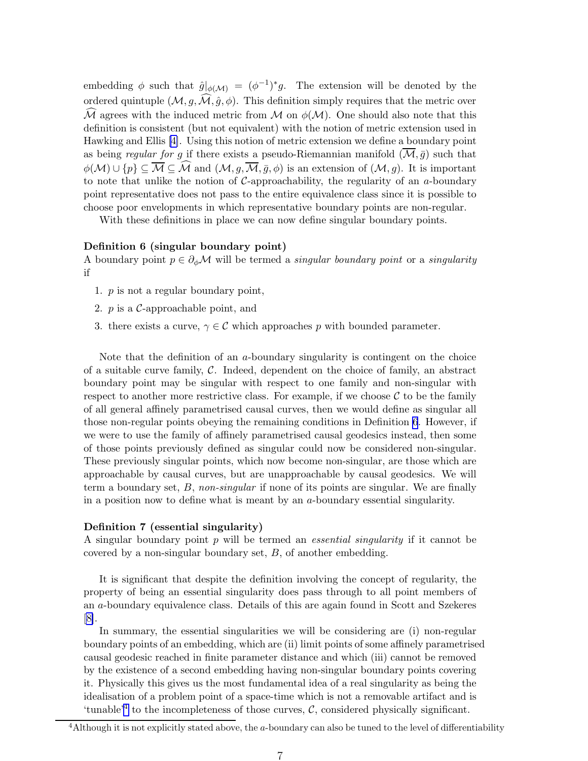embedding  $\phi$  such that  $\hat{g}|_{\phi(\mathcal{M})} = (\phi^{-1})^* g$ . The extension will be denoted by the ordered quintuple  $(M, g, \widehat{M}, \hat{g}, \phi)$ . This definition simply requires that the metric over M agrees with the induced metric from M on  $\phi(\mathcal{M})$ . One should also note that this definition is consistent (but not equivalent) with the notion of metric extension used in Hawking and Ellis [\[4\]](#page-8-0). Using this notion of metric extension we define a boundary point as being regular for g if there exists a pseudo-Riemannian manifold  $(\overline{\mathcal{M}}, \overline{g})$  such that  $\phi(\mathcal{M})\cup\{p\}\subseteq\overline{\mathcal{M}}\subseteq\widehat{\mathcal{M}}$  and  $(\mathcal{M}, g, \overline{\mathcal{M}}, \overline{g}, \phi)$  is an extension of  $(\mathcal{M}, g)$ . It is important to note that unlike the notion of  $\mathcal{C}$ -approachability, the regularity of an  $a$ -boundary point representative does not pass to the entire equivalence class since it is possible to choose poor envelopments in which representative boundary points are non-regular.

With these definitions in place we can now define singular boundary points.

#### Definition 6 (singular boundary point)

A boundary point  $p \in \partial_{\phi} \mathcal{M}$  will be termed a singular boundary point or a singularity if

- 1. p is not a regular boundary point,
- 2. p is a C-approachable point, and
- 3. there exists a curve,  $\gamma \in \mathcal{C}$  which approaches p with bounded parameter.

Note that the definition of an  $a$ -boundary singularity is contingent on the choice of a suitable curve family, C. Indeed, dependent on the choice of family, an abstract boundary point may be singular with respect to one family and non-singular with respect to another more restrictive class. For example, if we choose  $\mathcal C$  to be the family of all general affinely parametrised causal curves, then we would define as singular all those non-regular points obeying the remaining conditions in Definition 6. However, if we were to use the family of affinely parametrised causal geodesics instead, then some of those points previously defined as singular could now be considered non-singular. These previously singular points, which now become non-singular, are those which are approachable by causal curves, but are unapproachable by causal geodesics. We will term a boundary set, B, non-singular if none of its points are singular. We are finally in a position now to define what is meant by an a-boundary essential singularity.

#### Definition 7 (essential singularity)

A singular boundary point p will be termed an essential singularity if it cannot be covered by a non-singular boundary set, B, of another embedding.

It is significant that despite the definition involving the concept of regularity, the property of being an essential singularity does pass through to all point members of an a-boundary equivalence class. Details of this are again found in Scott and Szekeres  $|8|$ .

In summary, the essential singularities we will be considering are (i) non-regular boundary points of an embedding, which are (ii) limit points of some affinely parametrised causal geodesic reached in finite parameter distance and which (iii) cannot be removed by the existence of a second embedding having non-singular boundary points covering it. Physically this gives us the most fundamental idea of a real singularity as being the idealisation of a problem point of a space-time which is not a removable artifact and is 'tunable'<sup>4</sup> to the incompleteness of those curves,  $\mathcal{C}$ , considered physically significant.

<sup>&</sup>lt;sup>4</sup>Although it is not explicitly stated above, the a-boundary can also be tuned to the level of differentiability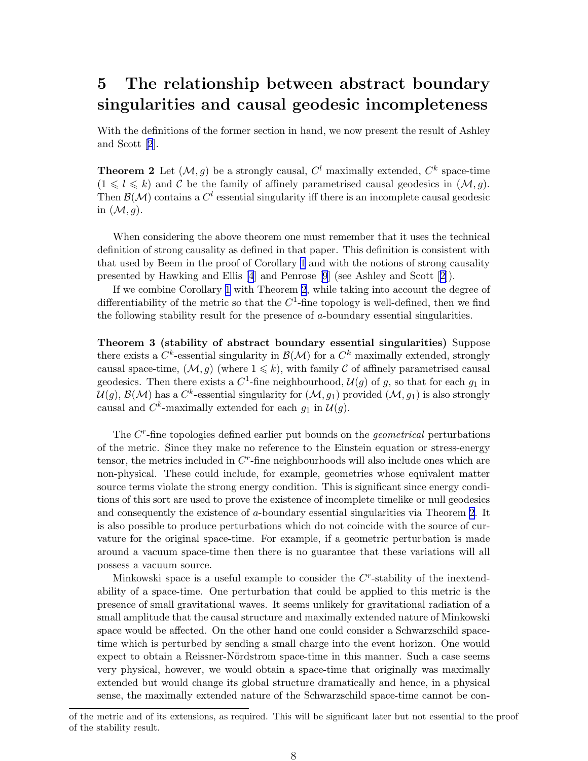## <span id="page-7-0"></span>5 The relationship between abstract boundary singularities and causal geodesic incompleteness

With the definitions of the former section in hand, we now present the result of Ashley and Scott[[2](#page-8-0)].

**Theorem 2** Let  $(M, g)$  be a strongly causal,  $C<sup>l</sup>$  maximally extended,  $C<sup>k</sup>$  space-time  $(1 \leq l \leq k)$  and C be the family of affinely parametrised causal geodesics in  $(\mathcal{M}, g)$ . Then  $\mathcal{B}(\mathcal{M})$  contains a  $C^l$  essential singularity iff there is an incomplete causal geodesic in  $(\mathcal{M}, g)$ .

When considering the above theorem one must remember that it uses the technical definition of strong causality as defined in that paper. This definition is consistent with that used by Beem in the proof of Corollary [1](#page-4-0) and with the notions of strong causality presented by Hawking and Ellis [\[4](#page-8-0)] and Penrose [\[9](#page-9-0)] (see Ashley and Scott[[2](#page-8-0)]).

If we combine Corollary [1](#page-4-0) with Theorem 2, while taking into account the degree of differentiability of the metric so that the  $C^1$ -fine topology is well-defined, then we find the following stability result for the presence of  $a$ -boundary essential singularities.

Theorem 3 (stability of abstract boundary essential singularities) Suppose there exists a  $C^k$ -essential singularity in  $\mathcal{B}(\mathcal{M})$  for a  $C^k$  maximally extended, strongly causal space-time,  $(M, g)$  (where  $1 \leq k$ ), with family C of affinely parametrised causal geodesics. Then there exists a  $C^1$ -fine neighbourhood,  $\mathcal{U}(g)$  of g, so that for each  $g_1$  in  $\mathcal{U}(g),$   $\mathcal{B}(\mathcal{M})$  has a  $C^k$ -essential singularity for  $(\mathcal{M}, g_1)$  provided  $(\mathcal{M}, g_1)$  is also strongly causal and  $C^k$ -maximally extended for each  $g_1$  in  $\mathcal{U}(g)$ .

The  $C<sup>r</sup>$ -fine topologies defined earlier put bounds on the *geometrical* perturbations of the metric. Since they make no reference to the Einstein equation or stress-energy tensor, the metrics included in  $C<sup>r</sup>$ -fine neighbourhoods will also include ones which are non-physical. These could include, for example, geometries whose equivalent matter source terms violate the strong energy condition. This is significant since energy conditions of this sort are used to prove the existence of incomplete timelike or null geodesics and consequently the existence of a-boundary essential singularities via Theorem 2. It is also possible to produce perturbations which do not coincide with the source of curvature for the original space-time. For example, if a geometric perturbation is made around a vacuum space-time then there is no guarantee that these variations will all possess a vacuum source.

Minkowski space is a useful example to consider the  $C<sup>r</sup>$ -stability of the inextendability of a space-time. One perturbation that could be applied to this metric is the presence of small gravitational waves. It seems unlikely for gravitational radiation of a small amplitude that the causal structure and maximally extended nature of Minkowski space would be affected. On the other hand one could consider a Schwarzschild spacetime which is perturbed by sending a small charge into the event horizon. One would expect to obtain a Reissner-Nördstrom space-time in this manner. Such a case seems very physical, however, we would obtain a space-time that originally was maximally extended but would change its global structure dramatically and hence, in a physical sense, the maximally extended nature of the Schwarzschild space-time cannot be con-

of the metric and of its extensions, as required. This will be significant later but not essential to the proof of the stability result.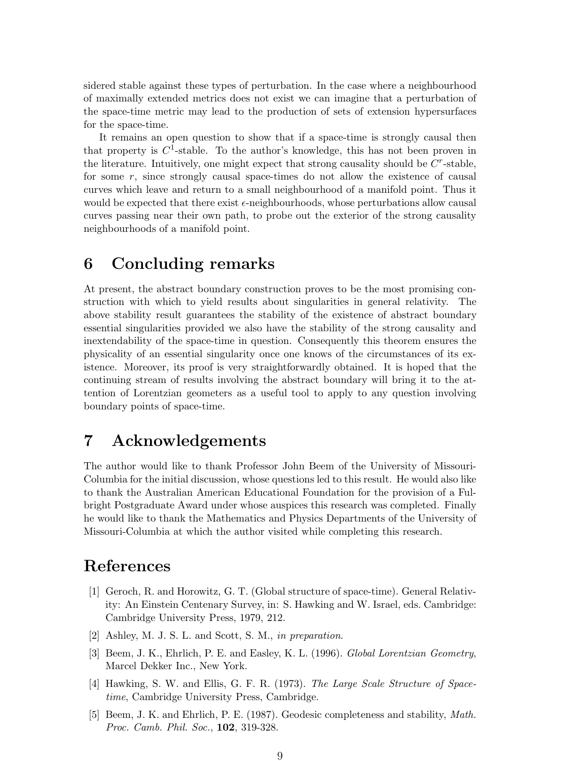<span id="page-8-0"></span>sidered stable against these types of perturbation. In the case where a neighbourhood of maximally extended metrics does not exist we can imagine that a perturbation of the space-time metric may lead to the production of sets of extension hypersurfaces for the space-time.

It remains an open question to show that if a space-time is strongly causal then that property is  $C^1$ -stable. To the author's knowledge, this has not been proven in the literature. Intuitively, one might expect that strong causality should be  $C<sup>r</sup>$ -stable, for some r, since strongly causal space-times do not allow the existence of causal curves which leave and return to a small neighbourhood of a manifold point. Thus it would be expected that there exist  $\epsilon$ -neighbourhoods, whose perturbations allow causal curves passing near their own path, to probe out the exterior of the strong causality neighbourhoods of a manifold point.

### 6 Concluding remarks

At present, the abstract boundary construction proves to be the most promising construction with which to yield results about singularities in general relativity. The above stability result guarantees the stability of the existence of abstract boundary essential singularities provided we also have the stability of the strong causality and inextendability of the space-time in question. Consequently this theorem ensures the physicality of an essential singularity once one knows of the circumstances of its existence. Moreover, its proof is very straightforwardly obtained. It is hoped that the continuing stream of results involving the abstract boundary will bring it to the attention of Lorentzian geometers as a useful tool to apply to any question involving boundary points of space-time.

## 7 Acknowledgements

The author would like to thank Professor John Beem of the University of Missouri-Columbia for the initial discussion, whose questions led to this result. He would also like to thank the Australian American Educational Foundation for the provision of a Fulbright Postgraduate Award under whose auspices this research was completed. Finally he would like to thank the Mathematics and Physics Departments of the University of Missouri-Columbia at which the author visited while completing this research.

## References

- [1] Geroch, R. and Horowitz, G. T. (Global structure of space-time). General Relativity: An Einstein Centenary Survey, in: S. Hawking and W. Israel, eds. Cambridge: Cambridge University Press, 1979, 212.
- [2] Ashley, M. J. S. L. and Scott, S. M., in preparation.
- [3] Beem, J. K., Ehrlich, P. E. and Easley, K. L. (1996). Global Lorentzian Geometry, Marcel Dekker Inc., New York.
- [4] Hawking, S. W. and Ellis, G. F. R. (1973). The Large Scale Structure of Spacetime, Cambridge University Press, Cambridge.
- [5] Beem, J. K. and Ehrlich, P. E. (1987). Geodesic completeness and stability, Math. Proc. Camb. Phil. Soc., **102**, 319-328.